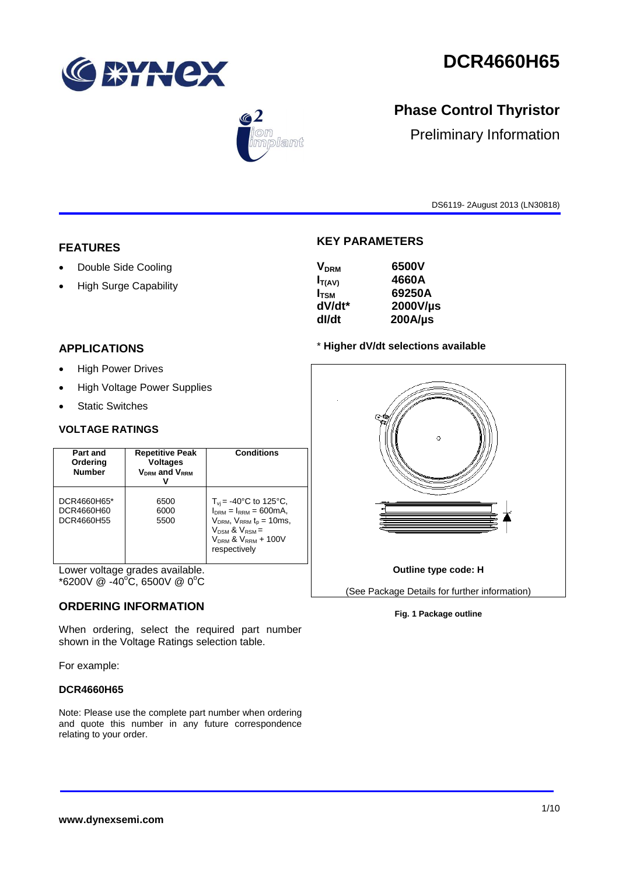

# **DCR4660H65**



## **Phase Control Thyristor**

Preliminary Information

DS6119- 2August 2013 (LN30818)

#### **FEATURES**

- Double Side Cooling
- High Surge Capability

## **APPLICATIONS**

- High Power Drives
- High Voltage Power Supplies
- Static Switches

#### **VOLTAGE RATINGS**

| Part and<br>Ordering<br><b>Number</b>   | <b>Repetitive Peak</b><br><b>Voltages</b><br>V <sub>DRM</sub> and V <sub>RRM</sub> | <b>Conditions</b>                                                                                                                                                             |
|-----------------------------------------|------------------------------------------------------------------------------------|-------------------------------------------------------------------------------------------------------------------------------------------------------------------------------|
| DCR4660H65*<br>DCR4660H60<br>DCR4660H55 | 6500<br>6000<br>5500                                                               | $T_{\rm vi}$ = -40°C to 125°C,<br>$IDRM = IRRM = 600mA.$<br>$VDRM$ , $VRRM$ t <sub>p</sub> = 10ms,<br>$V_{DSM}$ & $V_{RSM}$ =<br>$V_{DRM}$ & $V_{RRM}$ + 100V<br>respectively |

Lower voltage grades available.  $*6200V \ @ \ -40^{\circ}\text{C}, 6500V \ @ \ 0^{\circ}\text{C}$ 

#### **ORDERING INFORMATION**

When ordering, select the required part number shown in the Voltage Ratings selection table.

For example:

#### **DCR4660H65**

Note: Please use the complete part number when ordering and quote this number in any future correspondence relating to your order.

#### **KEY PARAMETERS**

| <b>V<sub>DRM</sub></b> | 6500V        |
|------------------------|--------------|
| $I_{T(AV)}$            | 4660A        |
| $I_{\rm TSM}$          | 69250A       |
| dV/dt*                 | 2000V/µs     |
| dl/dt                  | $200A/\mu s$ |
|                        |              |

#### \* **Higher dV/dt selections available**



#### **Fig. 1 Package outline**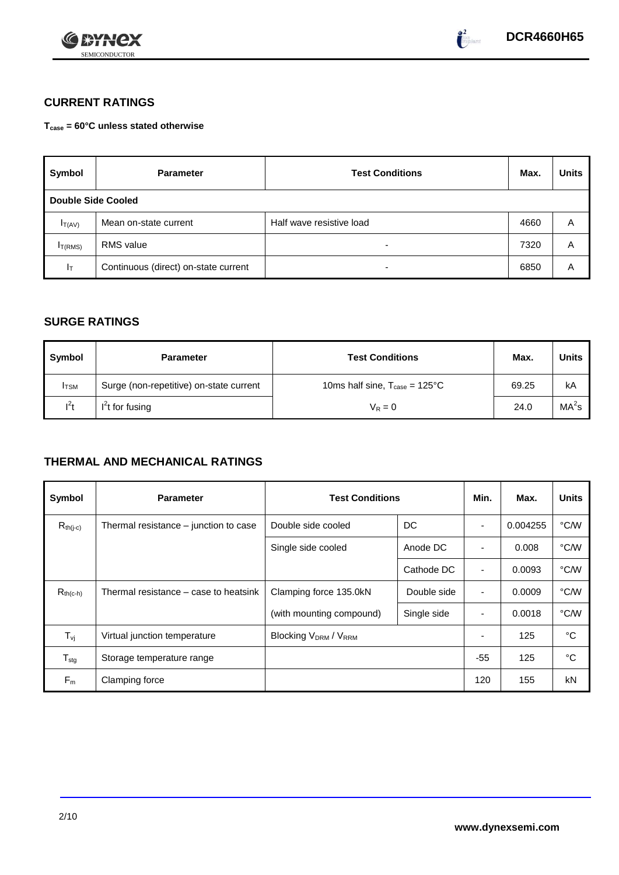



## **CURRENT RATINGS**

**Tcase = 60°C unless stated otherwise**

| Symbol              | <b>Parameter</b>                     | <b>Test Conditions</b>   | Max. | <b>Units</b> |
|---------------------|--------------------------------------|--------------------------|------|--------------|
|                     | <b>Double Side Cooled</b>            |                          |      |              |
| $I_{T(AV)}$         | Mean on-state current                | Half wave resistive load | 4660 | Α            |
| I <sub>T(RMS)</sub> | <b>RMS</b> value                     | -                        | 7320 | Α            |
| Iт                  | Continuous (direct) on-state current | -                        | 6850 | Α            |

#### **SURGE RATINGS**

| Symbol       | <b>Parameter</b>                        | <b>Test Conditions</b>                           | Max.  | <b>Units</b>      |
|--------------|-----------------------------------------|--------------------------------------------------|-------|-------------------|
| <b>I</b> TSM | Surge (non-repetitive) on-state current | 10ms half sine, $T_{\text{case}} = 125^{\circ}C$ | 69.25 | kA                |
| $l^2t$       | $I2t$ for fusing                        | $V_R = 0$                                        | 24.0  | MA <sup>2</sup> s |

## **THERMAL AND MECHANICAL RATINGS**

| Symbol                         | <b>Parameter</b>                      | <b>Test Conditions</b>      |             | Min.                     | Max.     | <b>Units</b> |
|--------------------------------|---------------------------------------|-----------------------------|-------------|--------------------------|----------|--------------|
| $R_{th(j-c)}$                  | Thermal resistance – junction to case | Double side cooled          | DC          |                          | 0.004255 | °C/W         |
|                                |                                       | Single side cooled          | Anode DC    | ٠                        | 0.008    | °C/W         |
|                                |                                       |                             | Cathode DC  | $\blacksquare$           | 0.0093   | °C/W         |
| $R_{th(c-h)}$                  | Thermal resistance – case to heatsink | Clamping force 135.0kN      | Double side | ٠                        | 0.0009   | °C/W         |
|                                |                                       | (with mounting compound)    | Single side | $\overline{\phantom{0}}$ | 0.0018   | °C/W         |
| $T_{\rm\scriptscriptstyle VI}$ | Virtual junction temperature          | <b>Blocking VDRM / VRRM</b> |             |                          | 125      | °C           |
| ${\mathsf T}_{\text{stg}}$     | Storage temperature range             |                             |             | $-55$                    | 125      | °C           |
| $F_m$                          | Clamping force                        |                             |             | 120                      | 155      | kN           |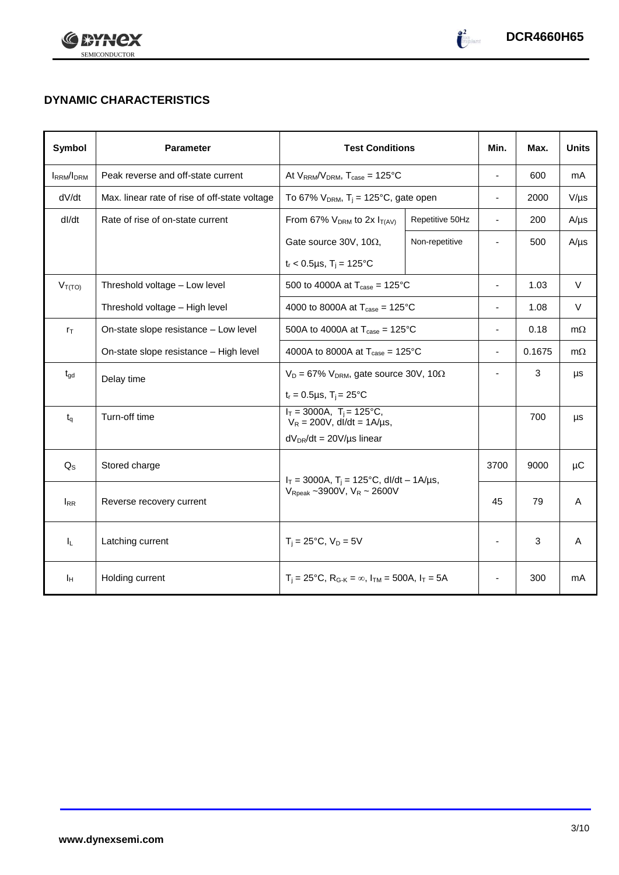



## **DYNAMIC CHARACTERISTICS**

| Symbol            | <b>Parameter</b>                              | <b>Test Conditions</b>                                                  |                 | Min.                     | Max.   | <b>Units</b> |
|-------------------|-----------------------------------------------|-------------------------------------------------------------------------|-----------------|--------------------------|--------|--------------|
| <b>IRRM</b> /IDRM | Peak reverse and off-state current            | At $V_{RRM}/V_{DRM}$ , $T_{case} = 125^{\circ}C$                        |                 | ÷,                       | 600    | mA           |
| dV/dt             | Max. linear rate of rise of off-state voltage | To 67% $V_{DRM}$ , T <sub>j</sub> = 125°C, gate open                    |                 | $\overline{\phantom{0}}$ | 2000   | $V/\mu s$    |
| dl/dt             | Rate of rise of on-state current              | From 67% $V_{DRM}$ to 2x $I_{T(AV)}$                                    | Repetitive 50Hz | $\overline{\phantom{a}}$ | 200    | $A/\mu s$    |
|                   |                                               | Gate source 30V, 10 $\Omega$ ,                                          | Non-repetitive  |                          | 500    | $A/\mu s$    |
|                   |                                               | $t_r$ < 0.5µs, T <sub>i</sub> = 125°C                                   |                 |                          |        |              |
| $V_{T(TO)}$       | Threshold voltage - Low level                 | 500 to 4000A at $T_{\text{case}} = 125^{\circ}C$                        |                 | $\blacksquare$           | 1.03   | $\vee$       |
|                   | Threshold voltage - High level                | 4000 to 8000A at $T_{\text{case}} = 125^{\circ}C$                       |                 | ä,                       | 1.08   | $\vee$       |
| $r_{\text{T}}$    | On-state slope resistance - Low level         | 500A to 4000A at $T_{\text{case}} = 125^{\circ}C$                       |                 | ä,                       | 0.18   | $m\Omega$    |
|                   | On-state slope resistance - High level        | 4000A to 8000A at $T_{\text{case}} = 125^{\circ}$ C                     |                 | $\overline{\phantom{0}}$ | 0.1675 | $m\Omega$    |
| $t_{gd}$          | Delay time                                    | $V_D = 67\%$ V <sub>DRM</sub> , gate source 30V, 10 $\Omega$            |                 |                          | 3      | μs           |
|                   |                                               | $t_r = 0.5 \mu s$ , $T_i = 25^{\circ}C$                                 |                 |                          |        |              |
| $t_{q}$           | Turn-off time                                 | $I_T = 3000A$ , $T_i = 125^{\circ}C$ ,<br>$V_R = 200V$ , dl/dt = 1A/µs, |                 |                          | 700    | μs           |
|                   |                                               | $dV_{DR}/dt = 20V/\mu s$ linear                                         |                 |                          |        |              |
| $Q_{S}$           | Stored charge                                 | $I_T = 3000A$ , $T_i = 125^{\circ}C$ , dl/dt - 1A/µs,                   |                 | 3700                     | 9000   | μC           |
| $I_{RR}$          | Reverse recovery current                      | $V_{\text{Rpeak}}$ ~3900V, $V_R$ ~ 2600V                                |                 | 45                       | 79     | A            |
| $I_L$             | Latching current                              | $T_i = 25^{\circ}C$ , $V_D = 5V$                                        |                 | ä,                       | 3      | A            |
| Īн                | Holding current                               | $T_i = 25^{\circ}C$ , $R_{G-K} = \infty$ , $I_{TM} = 500A$ , $I_T = 5A$ |                 |                          | 300    | mA           |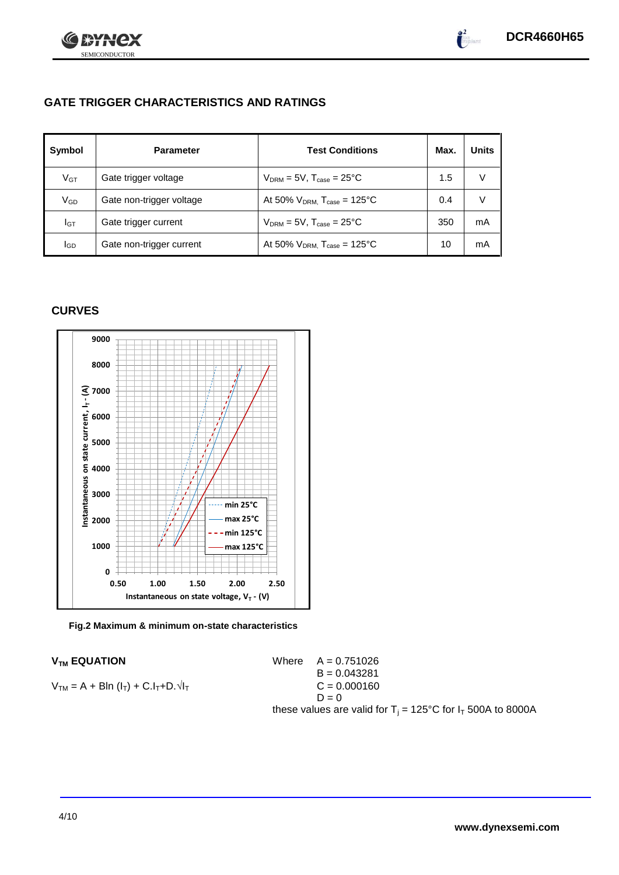

## **GATE TRIGGER CHARACTERISTICS AND RATINGS**

| Symbol       | <b>Parameter</b>         | <b>Test Conditions</b>                       | Max. | Units |
|--------------|--------------------------|----------------------------------------------|------|-------|
| $V$ GT       | Gate trigger voltage     | $V_{DRM}$ = 5V, $T_{case}$ = 25°C            | 1.5  |       |
| $\rm V_{GD}$ | Gate non-trigger voltage | At 50% $V_{DRM}$ , $T_{case} = 125^{\circ}C$ | 0.4  |       |
| Iст          | Gate trigger current     | $V_{DRM} = 5V$ , $T_{case} = 25^{\circ}C$    | 350  | mA    |
| lgp          | Gate non-trigger current | At 50% $V_{DRM}$ , $T_{case} = 125^{\circ}C$ | 10   | mA    |

#### **CURVES**

SEMICONDUCTOR

72X



**Fig.2 Maximum & minimum on-state characteristics**

$$
V_{TM} = A + Bln (l_T) + C.l_T + D.\sqrt{l_T}
$$
  
\n
$$
B = 0.043281
$$
  
\n
$$
C = 0.000160
$$
  
\n
$$
D = 0
$$

 $V_{TM}$  **EQUATION** Where  $A = 0.751026$ B = 0.043281  $D = 0$ these values are valid for  $T_j = 125^{\circ}C$  for  $I_T$  500A to 8000A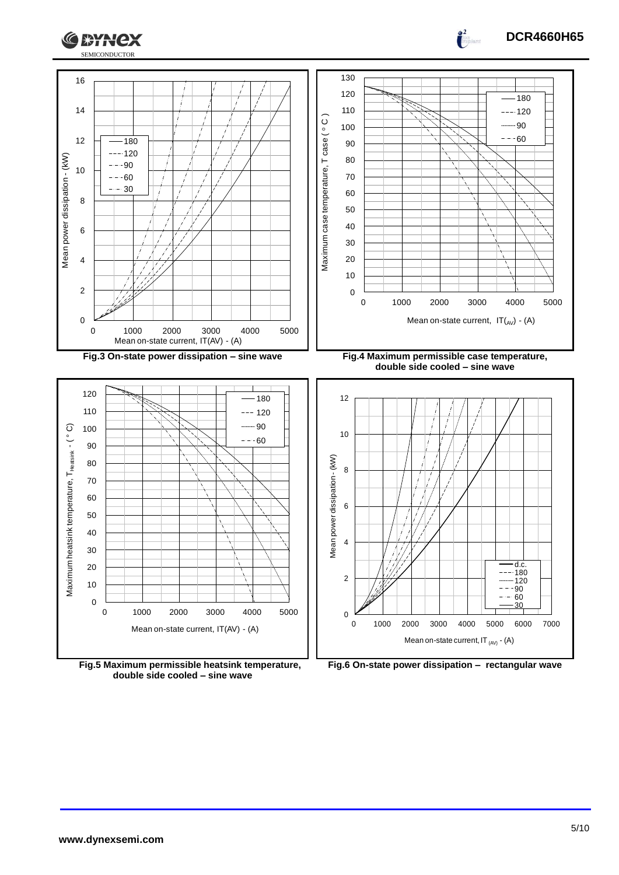



**Fig.5 Maximum permissible heatsink temperature, double side cooled – sine wave**

**Fig.6 On-state power dissipation – rectangular wave**

**DCR4660H65**

 $\frac{1}{2}$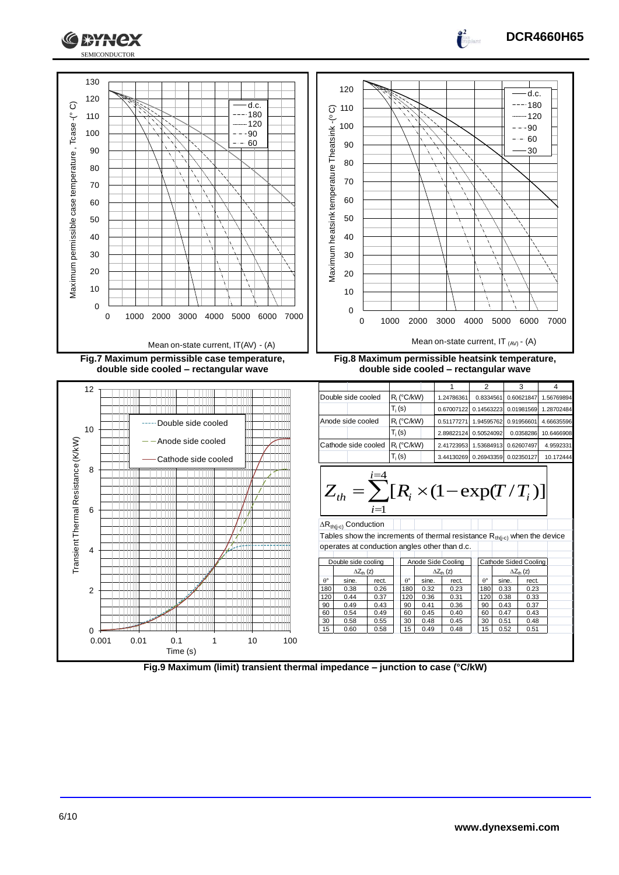

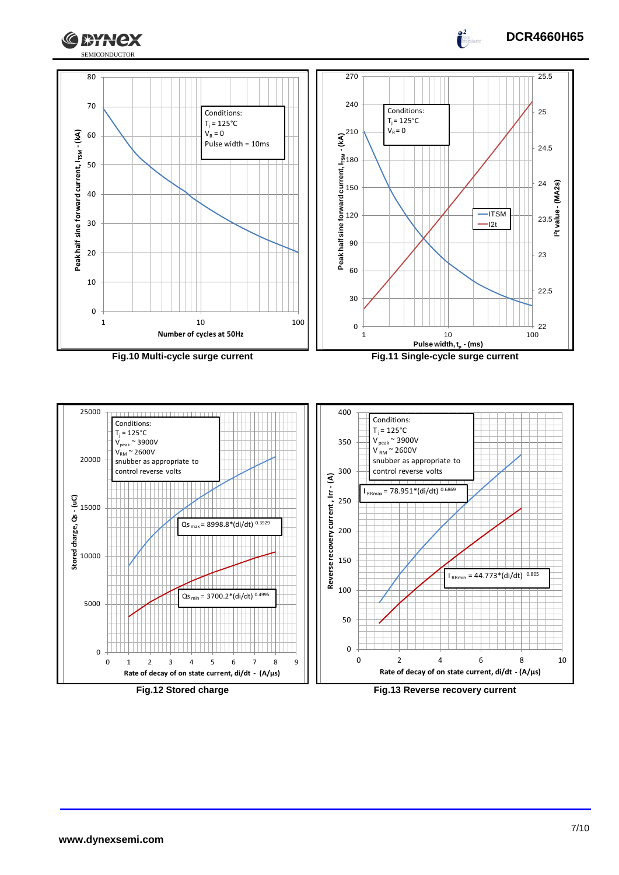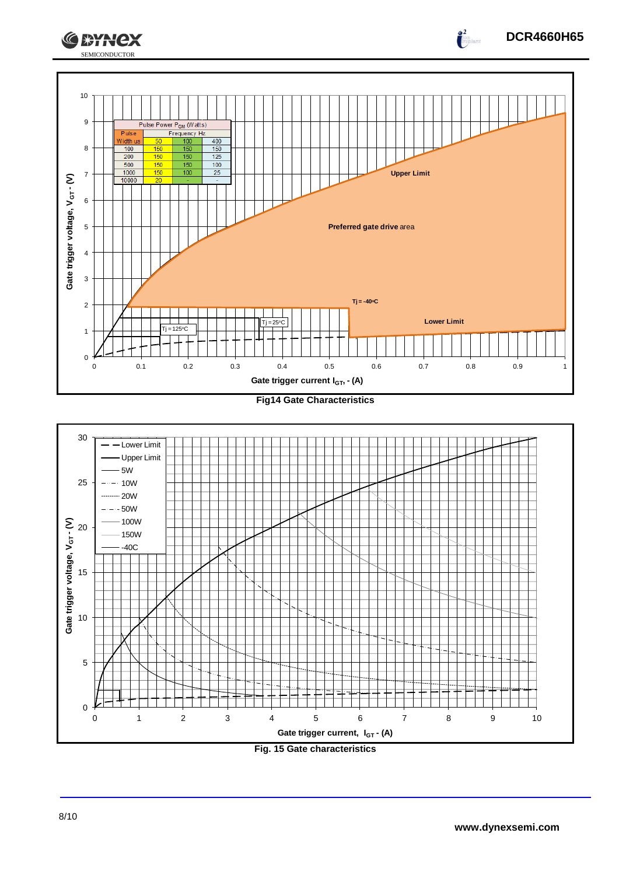





**Fig. 15 Gate characteristics**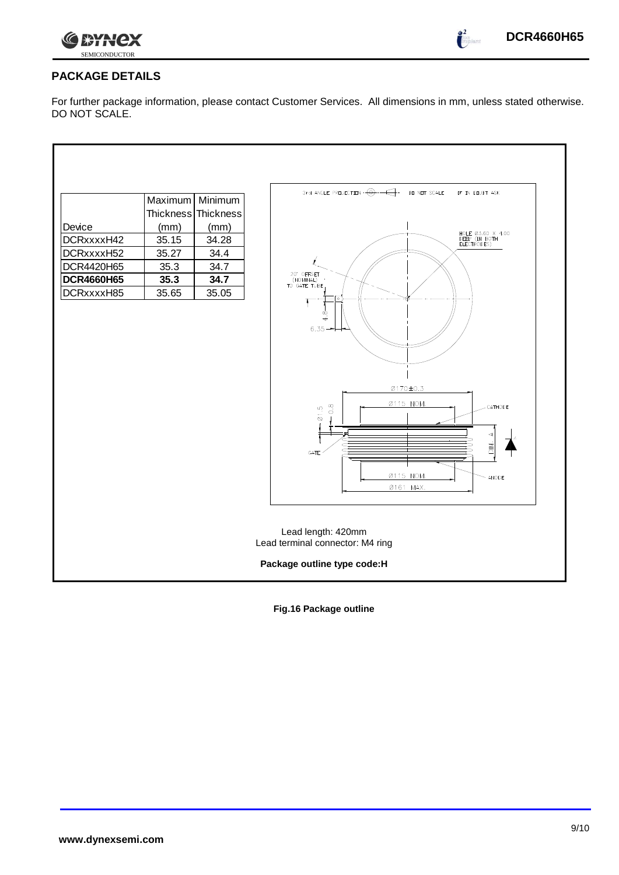

 $\int_{0}^{2}$ 

## **PACKAGE DETAILS**

For further package information, please contact Customer Services. All dimensions in mm, unless stated otherwise. DO NOT SCALE.

|                             | Maximum                          | Minimum             | 3rd ANGLE PREJECTION $\cdot \overbrace{\Theta} \cdot \overbrace{\hspace{1cm}}$<br>DO NOT SCALE<br>IF IN DOUBT ASK                                                                |  |  |
|-----------------------------|----------------------------------|---------------------|----------------------------------------------------------------------------------------------------------------------------------------------------------------------------------|--|--|
|                             |                                  | Thickness Thickness |                                                                                                                                                                                  |  |  |
| Device                      | (mm)                             | (mm)                |                                                                                                                                                                                  |  |  |
| DCRxxxxH42                  | 35.15                            | 34.28               | HOLE 03.60 X 4.00<br>DEEP (IN BOTH<br>ELECTRODES)                                                                                                                                |  |  |
| DCRxxxxH52                  | 35.27                            | 34.4                |                                                                                                                                                                                  |  |  |
| DCR4420H65                  | 35.3                             | 34.7                |                                                                                                                                                                                  |  |  |
| <b>DCR4660H65</b>           | 35.3                             | 34.7                | 20" OFFSET<br>(NOMINAL)<br>TO GATE TUBE                                                                                                                                          |  |  |
| DCRxxxxH85                  | 35.65                            | 35.05               | $\infty$<br>$\overline{+}$<br>6.35<br>0170±0.3<br>Ø115 NOM.<br>$\frac{8}{2}$<br>CATHODE<br>$\overline{\omega}$ 1.5<br>$\frac{1}{2}$<br>GATE<br>Ø115 NOM.<br>- ANODE<br>Ø161 MAX. |  |  |
|                             |                                  |                     | Lead length: 420mm                                                                                                                                                               |  |  |
|                             | Lead terminal connector: M4 ring |                     |                                                                                                                                                                                  |  |  |
| Package outline type code:H |                                  |                     |                                                                                                                                                                                  |  |  |

**Fig.16 Package outline**